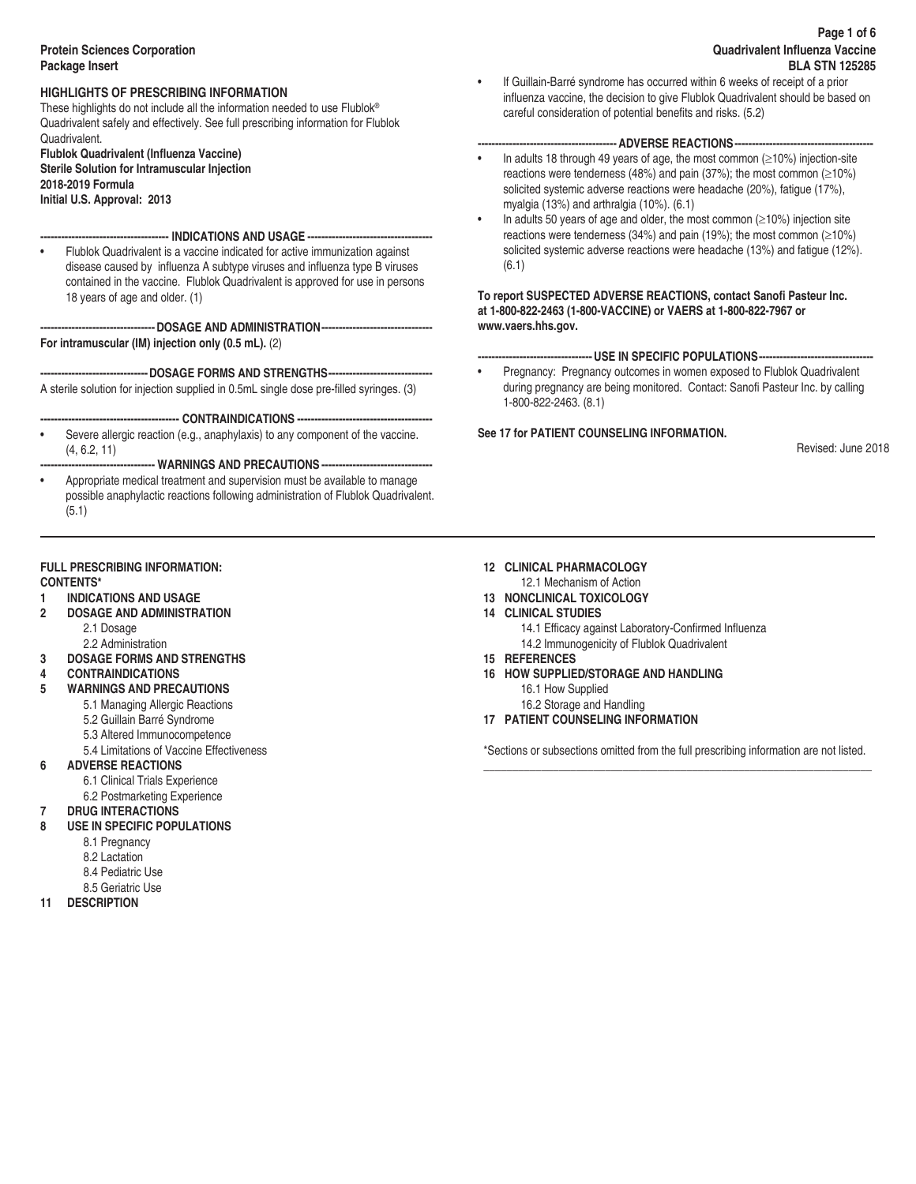# **Protein Sciences Corporation Package Insert**

# **HIGHLIGHTS OF PRESCRIBING INFORMATION**

These highlights do not include all the information needed to use Flublok® Quadrivalent safely and effectively. See full prescribing information for Flublok Quadrivalent.

**Flublok Quadrivalent (Influenza Vaccine) Sterile Solution for Intramuscular Injection 2018-2019 Formula Initial U.S. Approval: 2013**

# **------------------------------------- INDICATIONS AND USAGE ------------------------------------**

• Flublok Quadrivalent is a vaccine indicated for active immunization against disease caused by influenza A subtype viruses and influenza type B viruses contained in the vaccine. Flublok Quadrivalent is approved for use in persons 18 years of age and older. (1)

**---------------------------------DOSAGE AND ADMINISTRATION-------------------------------- For intramuscular (IM) injection only (0.5 mL).** (2)

**-------------------------------DOSAGE FORMS AND STRENGTHS------------------------------**

A sterile solution for injection supplied in 0.5mL single dose pre-filled syringes. (3)

- **---------------------------------------- CONTRAINDICATIONS ---------------------------------------**
- Severe allergic reaction (e.g., anaphylaxis) to any component of the vaccine. (4, 6.2, 11)

## **--------------------------------- WARNINGS AND PRECAUTIONS --------------------------------**

• Appropriate medical treatment and supervision must be available to manage possible anaphylactic reactions following administration of Flublok Quadrivalent. (5.1)

# **FULL PRESCRIBING INFORMATION:**

# **CONTENTS\***

- **1 INDICATIONS AND USAGE**
- **2 DOSAGE AND ADMINISTRATION** 
	- 2.1 Dosage 2.2 Administration
- **3 DOSAGE FORMS AND STRENGTHS**
- **4 CONTRAINDICATIONS**
- **5 WARNINGS AND PRECAUTIONS** 
	- 5.1 Managing Allergic Reactions
		- 5.2 Guillain Barré Syndrome
		- 5.3 Altered Immunocompetence
		- 5.4 Limitations of Vaccine Effectiveness
- **6 ADVERSE REACTIONS**
- 6.1 Clinical Trials Experience
	- 6.2 Postmarketing Experience
- **7 DRUG INTERACTIONS**
- **8 USE IN SPECIFIC POPULATIONS** 
	- 8.1 Pregnancy
	- 8.2 Lactation
	- 8.4 Pediatric Use
	- 8.5 Geriatric Use
- **11 DESCRIPTION**

• If Guillain-Barré syndrome has occurred within 6 weeks of receipt of a prior influenza vaccine, the decision to give Flublok Quadrivalent should be based on careful consideration of potential benefits and risks. (5.2)

# **---------------------------------------- ADVERSE REACTIONS----------------------------------------**

- In adults 18 through 49 years of age, the most common ( $\geq$ 10%) injection-site reactions were tenderness (48%) and pain (37%); the most common ( $\geq$ 10%) solicited systemic adverse reactions were headache (20%), fatigue (17%), myalgia (13%) and arthralgia (10%). (6.1)
- In adults 50 years of age and older, the most common  $(\geq 10\%)$  injection site reactions were tenderness (34%) and pain (19%); the most common (≥10%) solicited systemic adverse reactions were headache (13%) and fatigue (12%). (6.1)

# **To report SUSPECTED ADVERSE REACTIONS, contact Sanofi Pasteur Inc. at 1-800-822-2463 (1-800-VACCINE) or VAERS at 1-800-822-7967 or www.vaers.hhs.gov.**

# **---------------------------------USE IN SPECIFIC POPULATIONS---------------------------------**

• Pregnancy: Pregnancy outcomes in women exposed to Flublok Quadrivalent during pregnancy are being monitored. Contact: Sanofi Pasteur Inc. by calling 1-800-822-2463. (8.1)

# **See 17 for PATIENT COUNSELING INFORMATION.**

Revised: June 2018

# **12 CLINICAL PHARMACOLOGY**

- 12.1 Mechanism of Action
- **13 NONCLINICAL TOXICOLOGY**
- **14 CLINICAL STUDIES** 
	- 14.1 Efficacy against Laboratory-Confirmed Influenza 14.2 Immunogenicity of Flublok Quadrivalent
- **15 REFERENCES**
- **16 HOW SUPPLIED/STORAGE AND HANDLING** 
	- 16.1 How Supplied
	- 16.2 Storage and Handling
- **17 PATIENT COUNSELING INFORMATION**

\*Sections or subsections omitted from the full prescribing information are not listed. \_\_\_\_\_\_\_\_\_\_\_\_\_\_\_\_\_\_\_\_\_\_\_\_\_\_\_\_\_\_\_\_\_\_\_\_\_\_\_\_\_\_\_\_\_\_\_\_\_\_\_\_\_\_\_\_\_\_\_\_\_\_\_\_\_\_\_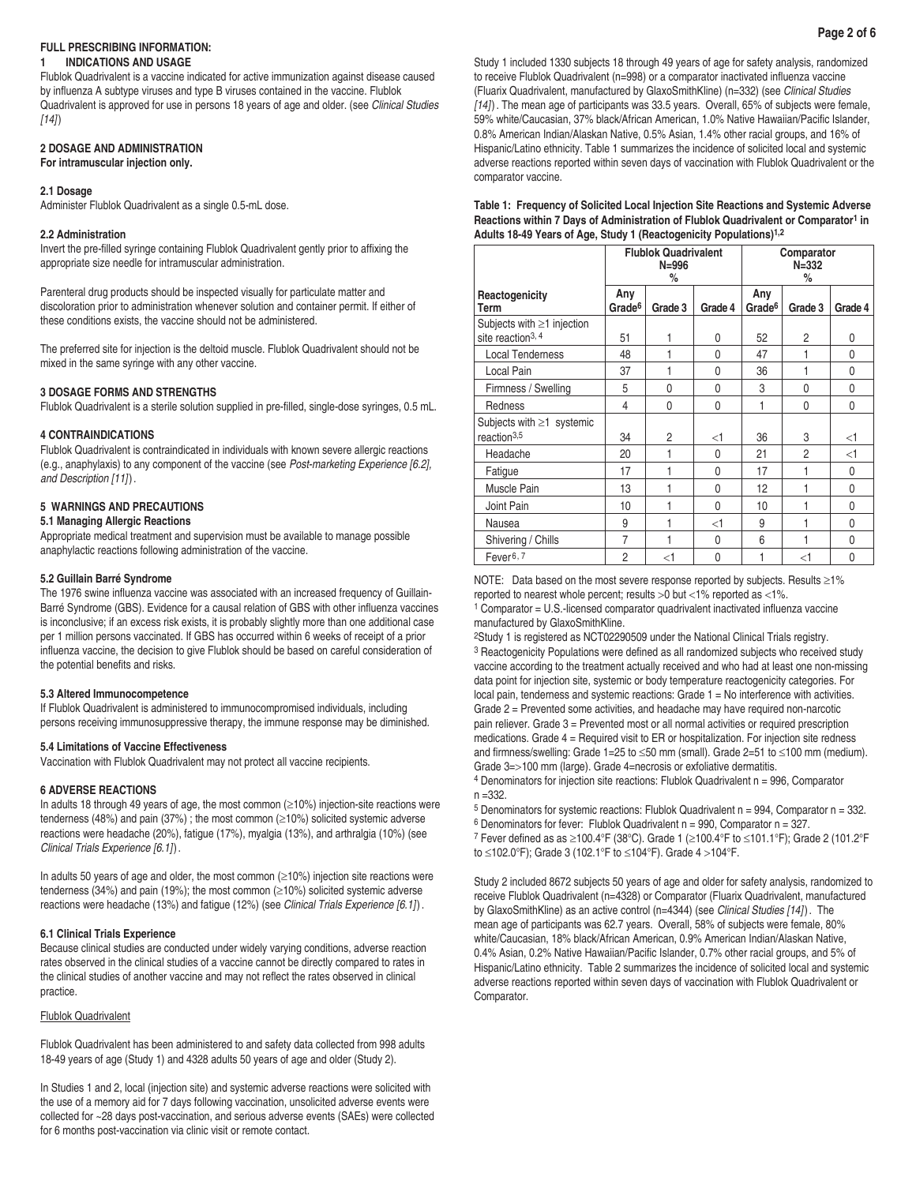# **FULL PRESCRIBING INFORMATION:**

### **1 INDICATIONS AND USAGE**

Flublok Quadrivalent is a vaccine indicated for active immunization against disease caused by influenza A subtype viruses and type B viruses contained in the vaccine. Flublok Quadrivalent is approved for use in persons 18 years of age and older. (see *Clinical Studies [14]*)

# **2 DOSAGE AND ADMINISTRATION**

**For intramuscular injection only.**

## **2.1 Dosage**

Administer Flublok Quadrivalent as a single 0.5-mL dose.

## **2.2 Administration**

Invert the pre-filled syringe containing Flublok Quadrivalent gently prior to affixing the appropriate size needle for intramuscular administration.

Parenteral drug products should be inspected visually for particulate matter and discoloration prior to administration whenever solution and container permit. If either of these conditions exists, the vaccine should not be administered.

The preferred site for injection is the deltoid muscle. Flublok Quadrivalent should not be mixed in the same syringe with any other vaccine.

# **3 DOSAGE FORMS AND STRENGTHS**

Flublok Quadrivalent is a sterile solution supplied in pre-filled, single-dose syringes, 0.5 mL.

## **4 CONTRAINDICATIONS**

Flublok Quadrivalent is contraindicated in individuals with known severe allergic reactions (e.g., anaphylaxis) to any component of the vaccine (see *Post-marketing Experience [6.2], and Description [11]*).

## **5 WARNINGS AND PRECAUTIONS**

#### **5.1 Managing Allergic Reactions**

Appropriate medical treatment and supervision must be available to manage possible anaphylactic reactions following administration of the vaccine.

## **5.2 Guillain Barré Syndrome**

The 1976 swine influenza vaccine was associated with an increased frequency of Guillain-Barré Syndrome (GBS). Evidence for a causal relation of GBS with other influenza vaccines is inconclusive; if an excess risk exists, it is probably slightly more than one additional case per 1 million persons vaccinated. If GBS has occurred within 6 weeks of receipt of a prior influenza vaccine, the decision to give Flublok should be based on careful consideration of the potential benefits and risks.

#### **5.3 Altered Immunocompetence**

If Flublok Quadrivalent is administered to immunocompromised individuals, including persons receiving immunosuppressive therapy, the immune response may be diminished.

# **5.4 Limitations of Vaccine Effectiveness**

Vaccination with Flublok Quadrivalent may not protect all vaccine recipients.

#### **6 ADVERSE REACTIONS**

In adults 18 through 49 years of age, the most common (≥10%) injection-site reactions were tenderness (48%) and pain (37%) ; the most common (≥10%) solicited systemic adverse reactions were headache (20%), fatigue (17%), myalgia (13%), and arthralgia (10%) (see *Clinical Trials Experience [6.1]*).

In adults 50 years of age and older, the most common  $(≥10%)$  injection site reactions were tenderness (34%) and pain (19%); the most common (≥10%) solicited systemic adverse reactions were headache (13%) and fatigue (12%) (see *Clinical Trials Experience [6.1]*).

#### **6.1 Clinical Trials Experience**

Because clinical studies are conducted under widely varying conditions, adverse reaction rates observed in the clinical studies of a vaccine cannot be directly compared to rates in the clinical studies of another vaccine and may not reflect the rates observed in clinical practice.

# Flublok Quadrivalent

Flublok Quadrivalent has been administered to and safety data collected from 998 adults 18-49 years of age (Study 1) and 4328 adults 50 years of age and older (Study 2).

In Studies 1 and 2, local (injection site) and systemic adverse reactions were solicited with the use of a memory aid for 7 days following vaccination, unsolicited adverse events were collected for ~28 days post-vaccination, and serious adverse events (SAEs) were collected for 6 months post-vaccination via clinic visit or remote contact.

| Table 1: Frequency of Solicited Local Injection Site Reactions and Systemic Adverse             |
|-------------------------------------------------------------------------------------------------|
| Reactions within 7 Days of Administration of Flublok Quadrivalent or Comparator <sup>1</sup> in |
| Adults 18-49 Years of Age, Study 1 (Reactogenicity Populations) <sup>1,2</sup>                  |

|                                                                   |                           | <b>Flublok Quadrivalent</b><br>$N = 996$<br>% |          |                           | Comparator<br>$N = 332$<br>% |         |
|-------------------------------------------------------------------|---------------------------|-----------------------------------------------|----------|---------------------------|------------------------------|---------|
| Reactogenicity<br>Term                                            | Any<br>Grade <sup>6</sup> | Grade 3                                       | Grade 4  | Any<br>Grade <sup>6</sup> | Grade 3                      | Grade 4 |
| Subjects with $\geq$ 1 injection<br>site reaction <sup>3, 4</sup> | 51                        | 1                                             | 0        | 52                        | 2                            | 0       |
| <b>Local Tenderness</b>                                           | 48                        | 1                                             | 0        | 47                        |                              | 0       |
| Local Pain                                                        | 37                        | 1                                             | 0        | 36                        | 1                            | 0       |
| Firmness / Swelling                                               | 5                         | 0                                             | 0        | 3                         | $\mathbf{0}$                 | 0       |
| Redness                                                           | 4                         | 0                                             | 0        | 1                         | 0                            | 0       |
| Subjects with $\geq$ 1 systemic<br>reaction <sup>3,5</sup>        | 34                        | $\overline{c}$                                | <1       | 36                        | 3                            | <1      |
| Headache                                                          | 20                        | 1                                             | 0        | 21                        | 2                            | <1      |
| Fatigue                                                           | 17                        | 1                                             | 0        | 17                        |                              | 0       |
| Muscle Pain                                                       | 13                        | 1                                             | 0        | 12                        |                              | 0       |
| Joint Pain                                                        | 10                        | 1                                             | $\Omega$ | 10                        |                              | 0       |
| Nausea                                                            | 9                         | 1                                             | <1       | 9                         | 1                            | 0       |
| Shivering / Chills                                                | 7                         | 1                                             | 0        | 6                         | 1                            | 0       |
| Fever <sup>6, 7</sup>                                             | 2                         | <1                                            | $\Omega$ | 1                         | <1                           | 0       |

NOTE: Data based on the most severe response reported by subjects. Results ≥1% reported to nearest whole percent; results >0 but <1% reported as <1%.

1 Comparator = U.S.-licensed comparator quadrivalent inactivated influenza vaccine manufactured by GlaxoSmithKline.

<sup>2</sup>Study 1 is registered as NCT02290509 under the National Clinical Trials registry. <sup>3</sup> Reactogenicity Populations were defined as all randomized subjects who received study vaccine according to the treatment actually received and who had at least one non-missing data point for injection site, systemic or body temperature reactogenicity categories. For local pain, tenderness and systemic reactions: Grade 1 = No interference with activities. Grade 2 = Prevented some activities, and headache may have required non-narcotic pain reliever. Grade 3 = Prevented most or all normal activities or required prescription medications. Grade 4 = Required visit to ER or hospitalization. For injection site redness and firmness/swelling: Grade 1=25 to ≤50 mm (small). Grade 2=51 to ≤100 mm (medium). Grade 3=>100 mm (large). Grade 4=necrosis or exfoliative dermatitis.

4 Denominators for injection site reactions: Flublok Quadrivalent n = 996, Comparator n =332.

 $5$  Denominators for systemic reactions: Flublok Quadrivalent  $n = 994$ . Comparator  $n = 332$ .

 $6$  Denominators for fever: Flublok Quadrivalent n = 990, Comparator n = 327.

7 Fever defined as as ≥100.4°F (38°C). Grade 1 (≥100.4°F to ≤101.1°F); Grade 2 (101.2°F to ≤102.0°F); Grade 3 (102.1°F to ≤104°F). Grade 4 >104°F.

Study 2 included 8672 subjects 50 years of age and older for safety analysis, randomized to receive Flublok Quadrivalent (n=4328) or Comparator (Fluarix Quadrivalent, manufactured by GlaxoSmithKline) as an active control (n=4344) (see *Clinical Studies [14]*). The mean age of participants was 62.7 years. Overall, 58% of subjects were female, 80% white/Caucasian, 18% black/African American, 0.9% American Indian/Alaskan Native, 0.4% Asian, 0.2% Native Hawaiian/Pacific Islander, 0.7% other racial groups, and 5% of Hispanic/Latino ethnicity. Table 2 summarizes the incidence of solicited local and systemic adverse reactions reported within seven days of vaccination with Flublok Quadrivalent or Comparator.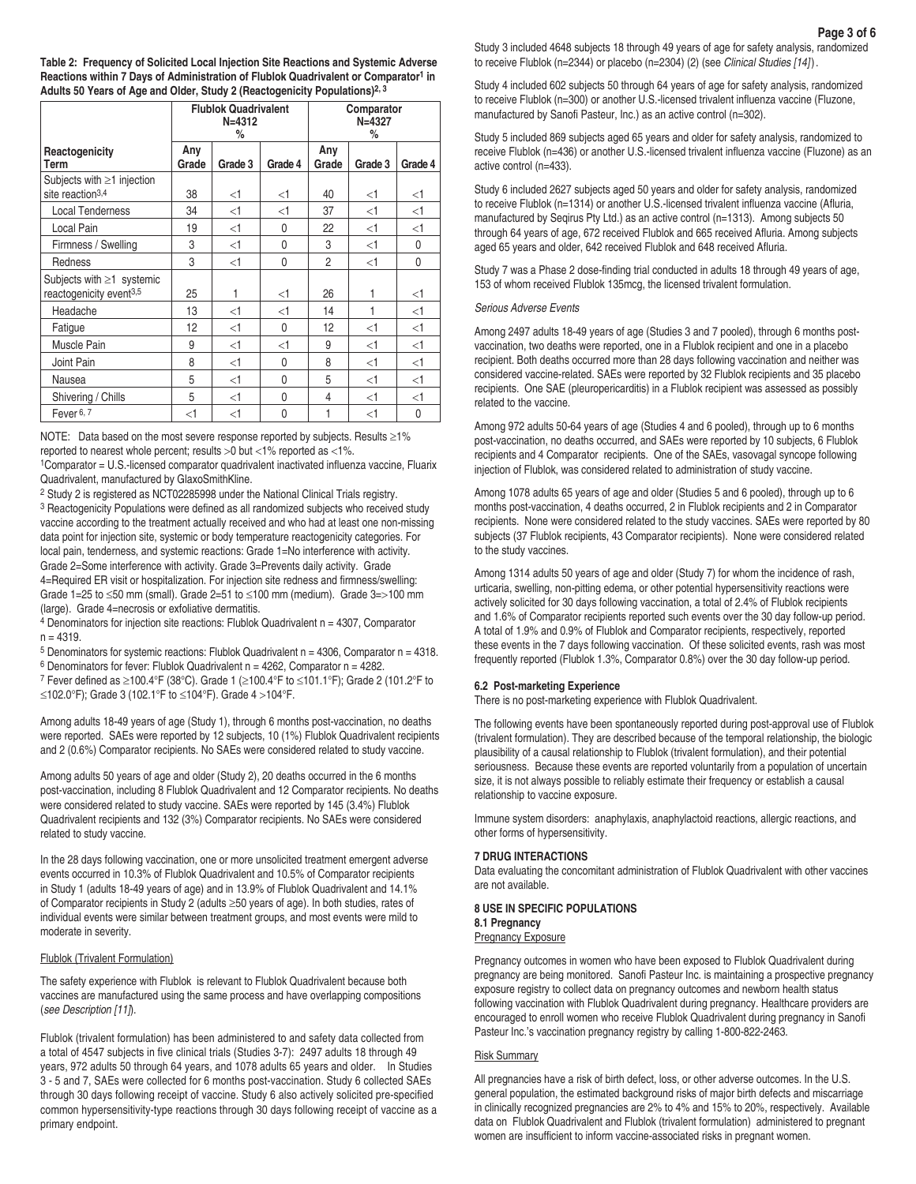**Table 2: Frequency of Solicited Local Injection Site Reactions and Systemic Adverse Reactions within 7 Days of Administration of Flublok Quadrivalent or Comparator1 in Adults 50 Years of Age and Older, Study 2 (Reactogenicity Populations)2, 3**

|                                                                        |              | <b>Flublok Quadrivalent</b><br>$N = 4312$<br>% |         |              | Comparator<br>$N = 4327$<br>% |          |
|------------------------------------------------------------------------|--------------|------------------------------------------------|---------|--------------|-------------------------------|----------|
| Reactogenicity<br>Term                                                 | Any<br>Grade | Grade 3                                        | Grade 4 | Any<br>Grade | Grade 3                       | Grade 4  |
| Subjects with $\geq$ 1 injection<br>site reaction <sup>3,4</sup>       | 38           | <1                                             | <1      | 40           | $<$ 1                         | $<$ 1    |
| <b>Local Tenderness</b>                                                | 34           | $<$ 1                                          | $<$ 1   | 37           | $<$ 1                         | $\leq$ 1 |
| Local Pain                                                             | 19           | <1                                             | 0       | 22           | $<$ 1                         | $<$ 1    |
| Firmness / Swelling                                                    | 3            | $<$ 1                                          | 0       | 3            | $<$ 1                         | 0        |
| Redness                                                                | 3            | $<$ 1                                          | 0       | 2            | $<$ 1                         | 0        |
| Subjects with $\geq 1$ systemic<br>reactogenicity event <sup>3,5</sup> | 25           | 1                                              | <1      | 26           | 1                             | $<$ 1    |
| Headache                                                               | 13           | $<$ 1                                          | <1      | 14           | 1                             | $<$ 1    |
| Fatigue                                                                | 12           | $<$ 1                                          | 0       | 12           | <1                            | $<$ 1    |
| Muscle Pain                                                            | 9            | <1                                             | $<$ 1   | 9            | <1                            | $<$ 1    |
| Joint Pain                                                             | 8            | <1                                             | 0       | 8            | <1                            | $<$ 1    |
| Nausea                                                                 | 5            | <1                                             | 0       | 5            | <1                            | $<$ 1    |
| Shivering / Chills                                                     | 5            | <1                                             | 0       | 4            | $<$ 1                         | $<$ 1    |
| Fever <sup>6, 7</sup>                                                  | $\leq$ 1     | $\leq$ 1                                       | 0       | 1            | $<$ 1                         | 0        |

NOTE: Data based on the most severe response reported by subjects. Results ≥1% reported to nearest whole percent; results >0 but <1% reported as <1%.

1Comparator = U.S.-licensed comparator quadrivalent inactivated influenza vaccine, Fluarix Quadrivalent, manufactured by GlaxoSmithKline.

2 Study 2 is registered as NCT02285998 under the National Clinical Trials registry.

<sup>3</sup> Reactogenicity Populations were defined as all randomized subjects who received study vaccine according to the treatment actually received and who had at least one non-missing data point for injection site, systemic or body temperature reactogenicity categories. For local pain, tenderness, and systemic reactions: Grade 1=No interference with activity. Grade 2=Some interference with activity. Grade 3=Prevents daily activity. Grade 4=Required ER visit or hospitalization. For injection site redness and firmness/swelling: Grade 1=25 to  $\leq$ 50 mm (small). Grade 2=51 to  $\leq$ 100 mm (medium). Grade 3=>100 mm (large). Grade 4=necrosis or exfoliative dermatitis.

4 Denominators for injection site reactions: Flublok Quadrivalent n = 4307, Comparator  $n = 4319$ .

5 Denominators for systemic reactions: Flublok Quadrivalent n = 4306, Comparator n = 4318.

6 Denominators for fever: Flublok Quadrivalent n = 4262, Comparator n = 4282.

7 Fever defined as ≥100.4°F (38°C). Grade 1 (≥100.4°F to ≤101.1°F); Grade 2 (101.2°F to ≤102.0°F); Grade 3 (102.1°F to ≤104°F). Grade 4 >104°F.

Among adults 18-49 years of age (Study 1), through 6 months post-vaccination, no deaths were reported. SAEs were reported by 12 subjects, 10 (1%) Flublok Quadrivalent recipients and 2 (0.6%) Comparator recipients. No SAEs were considered related to study vaccine.

Among adults 50 years of age and older (Study 2), 20 deaths occurred in the 6 months post-vaccination, including 8 Flublok Quadrivalent and 12 Comparator recipients. No deaths were considered related to study vaccine. SAEs were reported by 145 (3.4%) Flublok Quadrivalent recipients and 132 (3%) Comparator recipients. No SAEs were considered related to study vaccine.

In the 28 days following vaccination, one or more unsolicited treatment emergent adverse events occurred in 10.3% of Flublok Quadrivalent and 10.5% of Comparator recipients in Study 1 (adults 18-49 years of age) and in 13.9% of Flublok Quadrivalent and 14.1% of Comparator recipients in Study 2 (adults ≥50 years of age). In both studies, rates of individual events were similar between treatment groups, and most events were mild to moderate in severity.

## Flublok (Trivalent Formulation)

The safety experience with Flublok is relevant to Flublok Quadrivalent because both vaccines are manufactured using the same process and have overlapping compositions (*see Description [11]*).

Flublok (trivalent formulation) has been administered to and safety data collected from a total of 4547 subjects in five clinical trials (Studies 3-7): 2497 adults 18 through 49 years, 972 adults 50 through 64 years, and 1078 adults 65 years and older. In Studies 3 - 5 and 7, SAEs were collected for 6 months post-vaccination. Study 6 collected SAEs through 30 days following receipt of vaccine. Study 6 also actively solicited pre-specified common hypersensitivity-type reactions through 30 days following receipt of vaccine as a primary endpoint.

Study 3 included 4648 subjects 18 through 49 years of age for safety analysis, randomized to receive Flublok (n=2344) or placebo (n=2304) (2) (see *Clinical Studies [14]*).

Study 4 included 602 subjects 50 through 64 years of age for safety analysis, randomized to receive Flublok (n=300) or another U.S.-licensed trivalent influenza vaccine (Fluzone, manufactured by Sanofi Pasteur, Inc.) as an active control (n=302).

Study 5 included 869 subjects aged 65 years and older for safety analysis, randomized to receive Flublok (n=436) or another U.S.-licensed trivalent influenza vaccine (Fluzone) as an active control (n=433).

Study 6 included 2627 subjects aged 50 years and older for safety analysis, randomized to receive Flublok (n=1314) or another U.S.-licensed trivalent influenza vaccine (Afluria, manufactured by Segirus Pty Ltd.) as an active control (n=1313). Among subjects 50 through 64 years of age, 672 received Flublok and 665 received Afluria. Among subjects aged 65 years and older, 642 received Flublok and 648 received Afluria.

Study 7 was a Phase 2 dose-finding trial conducted in adults 18 through 49 years of age, 153 of whom received Flublok 135mcg, the licensed trivalent formulation.

#### *Serious Adverse Events*

Among 2497 adults 18-49 years of age (Studies 3 and 7 pooled), through 6 months postvaccination, two deaths were reported, one in a Flublok recipient and one in a placebo recipient. Both deaths occurred more than 28 days following vaccination and neither was considered vaccine-related. SAEs were reported by 32 Flublok recipients and 35 placebo recipients. One SAE (pleuropericarditis) in a Flublok recipient was assessed as possibly related to the vaccine.

Among 972 adults 50-64 years of age (Studies 4 and 6 pooled), through up to 6 months post-vaccination, no deaths occurred, and SAEs were reported by 10 subjects, 6 Flublok recipients and 4 Comparator recipients. One of the SAEs, vasovagal syncope following injection of Flublok, was considered related to administration of study vaccine.

Among 1078 adults 65 years of age and older (Studies 5 and 6 pooled), through up to 6 months post-vaccination, 4 deaths occurred, 2 in Flublok recipients and 2 in Comparator recipients. None were considered related to the study vaccines. SAEs were reported by 80 subjects (37 Flublok recipients, 43 Comparator recipients). None were considered related to the study vaccines.

Among 1314 adults 50 years of age and older (Study 7) for whom the incidence of rash, urticaria, swelling, non-pitting edema, or other potential hypersensitivity reactions were actively solicited for 30 days following vaccination, a total of 2.4% of Flublok recipients and 1.6% of Comparator recipients reported such events over the 30 day follow-up period. A total of 1.9% and 0.9% of Flublok and Comparator recipients, respectively, reported these events in the 7 days following vaccination. Of these solicited events, rash was most frequently reported (Flublok 1.3%, Comparator 0.8%) over the 30 day follow-up period.

#### **6.2 Post-marketing Experience**

There is no post-marketing experience with Flublok Quadrivalent.

The following events have been spontaneously reported during post-approval use of Flublok (trivalent formulation). They are described because of the temporal relationship, the biologic plausibility of a causal relationship to Flublok (trivalent formulation), and their potential seriousness. Because these events are reported voluntarily from a population of uncertain size, it is not always possible to reliably estimate their frequency or establish a causal relationship to vaccine exposure.

Immune system disorders: anaphylaxis, anaphylactoid reactions, allergic reactions, and other forms of hypersensitivity.

#### **7 DRUG INTERACTIONS**

Data evaluating the concomitant administration of Flublok Quadrivalent with other vaccines are not available.

## **8 USE IN SPECIFIC POPULATIONS 8.1 Pregnancy**

**Pregnancy Exposure** 

Pregnancy outcomes in women who have been exposed to Flublok Quadrivalent during pregnancy are being monitored. Sanofi Pasteur Inc. is maintaining a prospective pregnancy exposure registry to collect data on pregnancy outcomes and newborn health status following vaccination with Flublok Quadrivalent during pregnancy. Healthcare providers are encouraged to enroll women who receive Flublok Quadrivalent during pregnancy in Sanofi Pasteur Inc.'s vaccination pregnancy registry by calling 1-800-822-2463.

### Risk Summary

All pregnancies have a risk of birth defect, loss, or other adverse outcomes. In the U.S. general population, the estimated background risks of major birth defects and miscarriage in clinically recognized pregnancies are 2% to 4% and 15% to 20%, respectively. Available data on Flublok Quadrivalent and Flublok (trivalent formulation) administered to pregnant women are insufficient to inform vaccine-associated risks in pregnant women.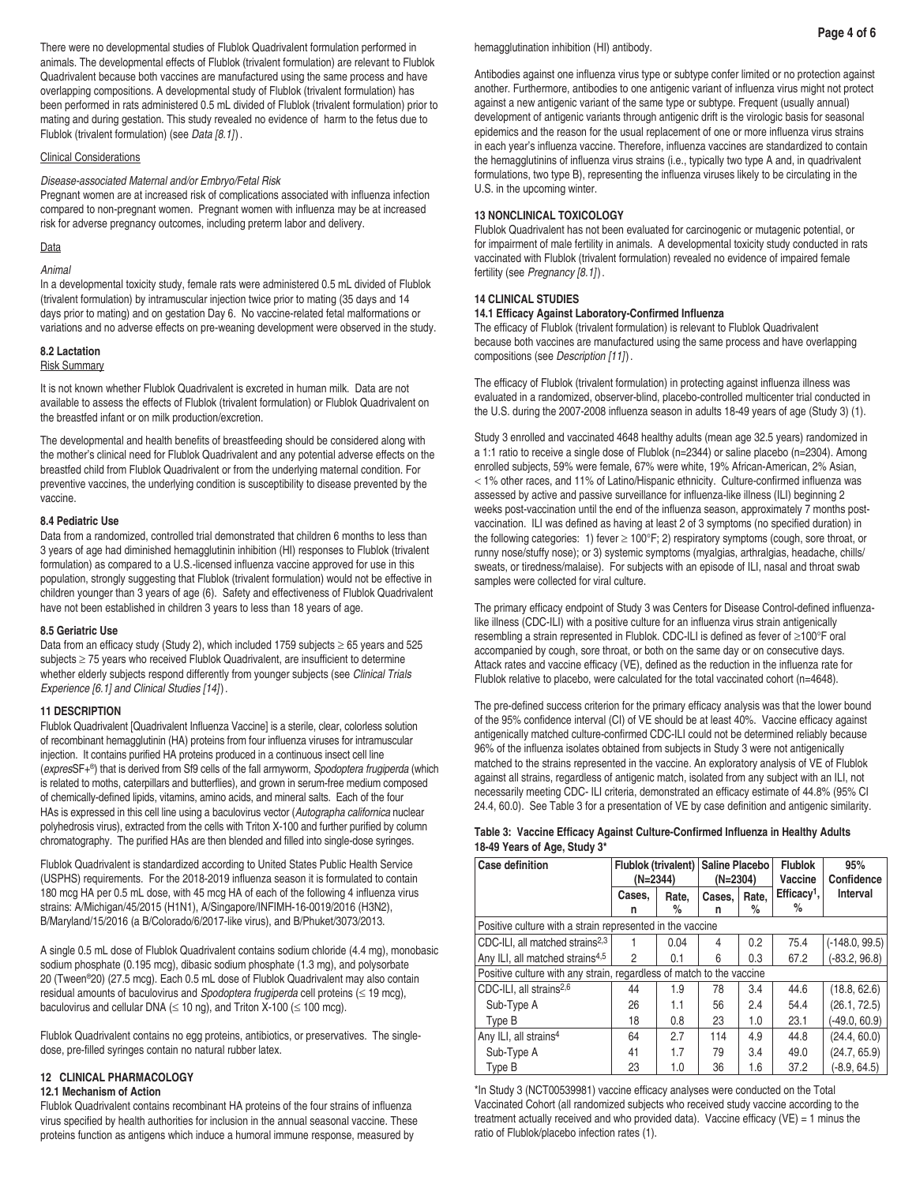There were no developmental studies of Flublok Quadrivalent formulation performed in animals. The developmental effects of Flublok (trivalent formulation) are relevant to Flublok Quadrivalent because both vaccines are manufactured using the same process and have overlapping compositions. A developmental study of Flublok (trivalent formulation) has been performed in rats administered 0.5 mL divided of Flublok (trivalent formulation) prior to mating and during gestation. This study revealed no evidence of harm to the fetus due to Flublok (trivalent formulation) (see *Data [8.1]*).

## Clinical Considerations

## *Disease-associated Maternal and/or Embryo/Fetal Risk*

Pregnant women are at increased risk of complications associated with influenza infection compared to non-pregnant women. Pregnant women with influenza may be at increased risk for adverse pregnancy outcomes, including preterm labor and delivery.

#### **Data**

#### *Animal*

In a developmental toxicity study, female rats were administered 0.5 mL divided of Flublok (trivalent formulation) by intramuscular injection twice prior to mating (35 days and 14 days prior to mating) and on gestation Day 6. No vaccine-related fetal malformations or variations and no adverse effects on pre-weaning development were observed in the study.

# **8.2 Lactation**

## Risk Summary

It is not known whether Flublok Quadrivalent is excreted in human milk. Data are not available to assess the effects of Flublok (trivalent formulation) or Flublok Quadrivalent on the breastfed infant or on milk production/excretion.

The developmental and health benefits of breastfeeding should be considered along with the mother's clinical need for Flublok Quadrivalent and any potential adverse effects on the breastfed child from Flublok Quadrivalent or from the underlying maternal condition. For preventive vaccines, the underlying condition is susceptibility to disease prevented by the vaccine.

#### **8.4 Pediatric Use**

Data from a randomized, controlled trial demonstrated that children 6 months to less than 3 years of age had diminished hemagglutinin inhibition (HI) responses to Flublok (trivalent formulation) as compared to a U.S.-licensed influenza vaccine approved for use in this population, strongly suggesting that Flublok (trivalent formulation) would not be effective in children younger than 3 years of age (6). Safety and effectiveness of Flublok Quadrivalent have not been established in children 3 years to less than 18 years of age.

### **8.5 Geriatric Use**

Data from an efficacy study (Study 2), which included 1759 subjects ≥ 65 years and 525 subjects ≥ 75 years who received Flublok Quadrivalent, are insufficient to determine whether elderly subjects respond differently from younger subjects (see *Clinical Trials Experience [6.1] and Clinical Studies [14]*).

## **11 DESCRIPTION**

Flublok Quadrivalent [Quadrivalent Influenza Vaccine] is a sterile, clear, colorless solution of recombinant hemagglutinin (HA) proteins from four influenza viruses for intramuscular injection. It contains purified HA proteins produced in a continuous insect cell line (*expres*SF+®) that is derived from Sf9 cells of the fall armyworm, *Spodoptera frugiperda* (which is related to moths, caterpillars and butterflies), and grown in serum-free medium composed of chemically-defined lipids, vitamins, amino acids, and mineral salts. Each of the four HAs is expressed in this cell line using a baculovirus vector (*Autographa californica* nuclear polyhedrosis virus), extracted from the cells with Triton X-100 and further purified by column chromatography. The purified HAs are then blended and filled into single-dose syringes.

Flublok Quadrivalent is standardized according to United States Public Health Service (USPHS) requirements. For the 2018-2019 influenza season it is formulated to contain 180 mcg HA per 0.5 mL dose, with 45 mcg HA of each of the following 4 influenza virus strains: A/Michigan/45/2015 (H1N1), A/Singapore/INFIMH-16-0019/2016 (H3N2), B/Maryland/15/2016 (a B/Colorado/6/2017-like virus), and B/Phuket/3073/2013.

A single 0.5 mL dose of Flublok Quadrivalent contains sodium chloride (4.4 mg), monobasic sodium phosphate (0.195 mcg), dibasic sodium phosphate (1.3 mg), and polysorbate 20 (Tween®20) (27.5 mcg). Each 0.5 mL dose of Flublok Quadrivalent may also contain residual amounts of baculovirus and *Spodoptera frugiperda* cell proteins (≤ 19 mcg), baculovirus and cellular DNA ( $\leq$  10 ng), and Triton X-100 ( $\leq$  100 mcg).

Flublok Quadrivalent contains no egg proteins, antibiotics, or preservatives. The singledose, pre-filled syringes contain no natural rubber latex.

# **12 CLINICAL PHARMACOLOGY**

## **12.1 Mechanism of Action**

Flublok Quadrivalent contains recombinant HA proteins of the four strains of influenza virus specified by health authorities for inclusion in the annual seasonal vaccine. These proteins function as antigens which induce a humoral immune response, measured by

hemagglutination inhibition (HI) antibody.

Antibodies against one influenza virus type or subtype confer limited or no protection against another. Furthermore, antibodies to one antigenic variant of influenza virus might not protect against a new antigenic variant of the same type or subtype. Frequent (usually annual) development of antigenic variants through antigenic drift is the virologic basis for seasonal epidemics and the reason for the usual replacement of one or more influenza virus strains in each year's influenza vaccine. Therefore, influenza vaccines are standardized to contain the hemagglutinins of influenza virus strains (i.e., typically two type A and, in quadrivalent formulations, two type B), representing the influenza viruses likely to be circulating in the U.S. in the upcoming winter.

#### **13 NONCLINICAL TOXICOLOGY**

Flublok Quadrivalent has not been evaluated for carcinogenic or mutagenic potential, or for impairment of male fertility in animals. A developmental toxicity study conducted in rats vaccinated with Flublok (trivalent formulation) revealed no evidence of impaired female fertility (see *Pregnancy [8.1]*).

#### **14 CLINICAL STUDIES**

## **14.1 Efficacy Against Laboratory-Confirmed Influenza**

The efficacy of Flublok (trivalent formulation) is relevant to Flublok Quadrivalent because both vaccines are manufactured using the same process and have overlapping compositions (see *Description [11]*).

The efficacy of Flublok (trivalent formulation) in protecting against influenza illness was evaluated in a randomized, observer-blind, placebo-controlled multicenter trial conducted in the U.S. during the 2007-2008 influenza season in adults 18-49 years of age (Study 3) (1).

Study 3 enrolled and vaccinated 4648 healthy adults (mean age 32.5 years) randomized in a 1:1 ratio to receive a single dose of Flublok (n=2344) or saline placebo (n=2304). Among enrolled subjects, 59% were female, 67% were white, 19% African-American, 2% Asian, < 1% other races, and 11% of Latino/Hispanic ethnicity. Culture-confirmed influenza was assessed by active and passive surveillance for influenza-like illness (ILI) beginning 2 weeks post-vaccination until the end of the influenza season, approximately 7 months postvaccination. ILI was defined as having at least 2 of 3 symptoms (no specified duration) in the following categories: 1) fever ≥ 100°F; 2) respiratory symptoms (cough, sore throat, or runny nose/stuffy nose); or 3) systemic symptoms (myalgias, arthralgias, headache, chills/ sweats, or tiredness/malaise). For subjects with an episode of ILI, nasal and throat swab samples were collected for viral culture.

The primary efficacy endpoint of Study 3 was Centers for Disease Control-defined influenzalike illness (CDC-ILI) with a positive culture for an influenza virus strain antigenically resembling a strain represented in Flublok. CDC-ILI is defined as fever of ≥100°F oral accompanied by cough, sore throat, or both on the same day or on consecutive days. Attack rates and vaccine efficacy (VE), defined as the reduction in the influenza rate for Flublok relative to placebo, were calculated for the total vaccinated cohort (n=4648).

The pre-defined success criterion for the primary efficacy analysis was that the lower bound of the 95% confidence interval (CI) of VE should be at least 40%. Vaccine efficacy against antigenically matched culture-confirmed CDC-ILI could not be determined reliably because 96% of the influenza isolates obtained from subjects in Study 3 were not antigenically matched to the strains represented in the vaccine. An exploratory analysis of VE of Flublok against all strains, regardless of antigenic match, isolated from any subject with an ILI, not necessarily meeting CDC- ILI criteria, demonstrated an efficacy estimate of 44.8% (95% CI 24.4, 60.0). See Table 3 for a presentation of VE by case definition and antigenic similarity.

## **Table 3: Vaccine Efficacy Against Culture-Confirmed Influenza in Healthy Adults 18-49 Years of Age, Study 3\***

| <b>Case definition</b>                                               | Flublok (trivalent)<br>$(N=2344)$ |            | <b>Saline Placebo</b><br>$(N=2304)$ |            | <b>Flublok</b><br>Vaccine | 95%<br>Confidence |
|----------------------------------------------------------------------|-----------------------------------|------------|-------------------------------------|------------|---------------------------|-------------------|
|                                                                      | Cases.                            | Rate.<br>℅ | Cases,                              | Rate,<br>% | $Efficacy1$ ,<br>%        | Interval          |
| n<br>n<br>Positive culture with a strain represented in the vaccine  |                                   |            |                                     |            |                           |                   |
| CDC-ILI, all matched strains <sup>2,3</sup>                          |                                   | 0.04       | 4                                   | 0.2        | 75.4                      | $(-148.0, 99.5)$  |
| Any ILI, all matched strains <sup>4,5</sup>                          | $\overline{c}$                    | 0.1        | 6                                   | 0.3        | 67.2                      | $(-83.2, 96.8)$   |
| Positive culture with any strain, regardless of match to the vaccine |                                   |            |                                     |            |                           |                   |
| CDC-ILI, all strains <sup>2,6</sup>                                  | 44                                | 1.9        | 78                                  | 3.4        | 44.6                      | (18.8, 62.6)      |
| Sub-Type A                                                           | 26                                | 1.1        | 56                                  | 2.4        | 54.4                      | (26.1, 72.5)      |
| Type B                                                               | 18                                | 0.8        | 23                                  | 1.0        | 23.1                      | $(-49.0, 60.9)$   |
| Any ILI, all strains <sup>4</sup>                                    | 64                                | 2.7        | 114                                 | 4.9        | 44.8                      | (24.4, 60.0)      |
| Sub-Type A                                                           | 41                                | 1.7        | 79                                  | 3.4        | 49.0                      | (24.7, 65.9)      |
| Type B                                                               | 23                                | 1.0        | 36                                  | 1.6        | 37.2                      | $(-8.9, 64.5)$    |

\*In Study 3 (NCT00539981) vaccine efficacy analyses were conducted on the Total Vaccinated Cohort (all randomized subjects who received study vaccine according to the treatment actually received and who provided data). Vaccine efficacy (VE) = 1 minus the ratio of Flublok/placebo infection rates (1).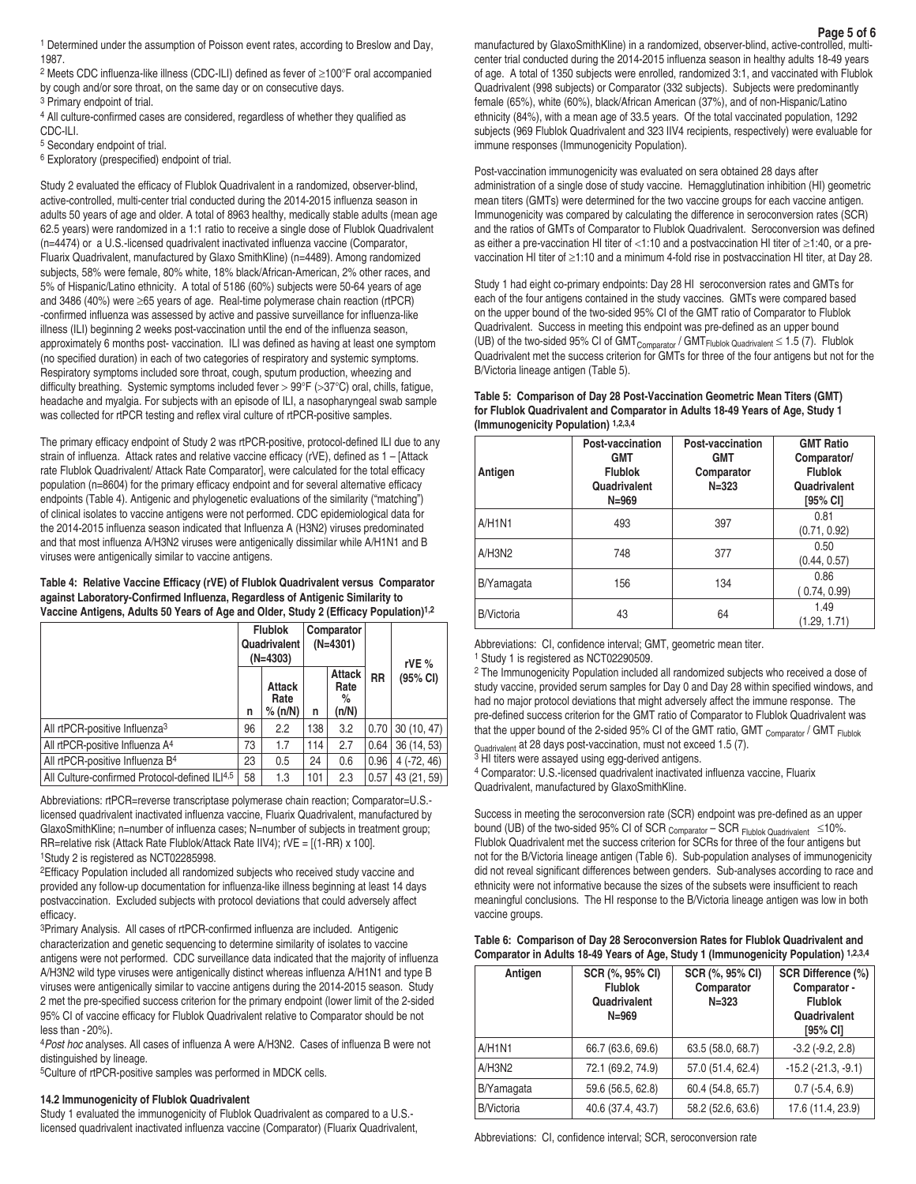**Page 5 of 6** 1 Determined under the assumption of Poisson event rates, according to Breslow and Day, manufactured by GlaxoSmithKline) in a randomized, observer-blind, active-controlled, multi-1987.

2 Meets CDC influenza-like illness (CDC-ILI) defined as fever of ≥100°F oral accompanied by cough and/or sore throat, on the same day or on consecutive days.

3 Primary endpoint of trial.

4 All culture-confirmed cases are considered, regardless of whether they qualified as CDC-ILI.

5 Secondary endpoint of trial.

6 Exploratory (prespecified) endpoint of trial.

Study 2 evaluated the efficacy of Flublok Quadrivalent in a randomized, observer-blind, active-controlled, multi-center trial conducted during the 2014-2015 influenza season in adults 50 years of age and older. A total of 8963 healthy, medically stable adults (mean age 62.5 years) were randomized in a 1:1 ratio to receive a single dose of Flublok Quadrivalent (n=4474) or a U.S.-licensed quadrivalent inactivated influenza vaccine (Comparator, Fluarix Quadrivalent, manufactured by Glaxo SmithKline) (n=4489). Among randomized subjects, 58% were female, 80% white, 18% black/African-American, 2% other races, and 5% of Hispanic/Latino ethnicity. A total of 5186 (60%) subjects were 50-64 years of age and 3486 (40%) were ≥65 years of age. Real-time polymerase chain reaction (rtPCR) -confirmed influenza was assessed by active and passive surveillance for influenza-like illness (ILI) beginning 2 weeks post-vaccination until the end of the influenza season, approximately 6 months post- vaccination. ILI was defined as having at least one symptom (no specified duration) in each of two categories of respiratory and systemic symptoms. Respiratory symptoms included sore throat, cough, sputum production, wheezing and difficulty breathing. Systemic symptoms included fever > 99°F (>37°C) oral, chills, fatigue, headache and myalgia. For subjects with an episode of ILI, a nasopharyngeal swab sample was collected for rtPCR testing and reflex viral culture of rtPCR-positive samples.

The primary efficacy endpoint of Study 2 was rtPCR-positive, protocol-defined ILI due to any strain of influenza. Attack rates and relative vaccine efficacy (rVE), defined as 1 – [Attack rate Flublok Quadrivalent/ Attack Rate Comparator], were calculated for the total efficacy population (n=8604) for the primary efficacy endpoint and for several alternative efficacy endpoints (Table 4). Antigenic and phylogenetic evaluations of the similarity ("matching") of clinical isolates to vaccine antigens were not performed. CDC epidemiological data for the 2014-2015 influenza season indicated that Influenza A (H3N2) viruses predominated and that most influenza A/H3N2 viruses were antigenically dissimilar while A/H1N1 and B viruses were antigenically similar to vaccine antigens.

**Table 4: Relative Vaccine Efficacy (rVE) of Flublok Quadrivalent versus Comparator against Laboratory-Confirmed Influenza, Regardless of Antigenic Similarity to Vaccine Antigens, Adults 50 Years of Age and Older, Study 2 (Efficacy Population)1,2**

|                                               | <b>Flublok</b><br>Quadrivalent<br>$(N=4303)$ |                                  | Comparator<br>$(N=4301)$ |                                     |           | rVE $%$      |
|-----------------------------------------------|----------------------------------------------|----------------------------------|--------------------------|-------------------------------------|-----------|--------------|
|                                               | n                                            | <b>Attack</b><br>Rate<br>% (n/N) | n                        | <b>Attack</b><br>Rate<br>%<br>(n/N) | <b>RR</b> | (95% CI)     |
| All rtPCR-positive Influenza <sup>3</sup>     | 96                                           | 2.2                              | 138                      | 3.2                                 | 0.70      | 30(10, 47)   |
| All rtPCR-positive Influenza A <sup>4</sup>   | 73                                           | 1.7                              | 114                      | 2.7                                 | 0.64      | 36 (14, 53)  |
| All rtPCR-positive Influenza B <sup>4</sup>   | 23                                           | 0.5                              | 24                       | 0.6                                 | 0.96      | $4(-72, 46)$ |
| All Culture-confirmed Protocol-defined ILI4,5 | 58                                           | 1.3                              | 101                      | 2.3                                 | 0.57      | 43 (21, 59)  |

Abbreviations: rtPCR=reverse transcriptase polymerase chain reaction; Comparator=U.S.licensed quadrivalent inactivated influenza vaccine, Fluarix Quadrivalent, manufactured by GlaxoSmithKline; n=number of influenza cases; N=number of subjects in treatment group; RR=relative risk (Attack Rate Flublok/Attack Rate IIV4); rVE = [(1-RR) x 100]. 1Study 2 is registered as NCT02285998.

2Efficacy Population included all randomized subjects who received study vaccine and provided any follow-up documentation for influenza-like illness beginning at least 14 days postvaccination. Excluded subjects with protocol deviations that could adversely affect efficacy.

3Primary Analysis. All cases of rtPCR-confirmed influenza are included. Antigenic characterization and genetic sequencing to determine similarity of isolates to vaccine antigens were not performed. CDC surveillance data indicated that the majority of influenza A/H3N2 wild type viruses were antigenically distinct whereas influenza A/H1N1 and type B viruses were antigenically similar to vaccine antigens during the 2014-2015 season. Study 2 met the pre-specified success criterion for the primary endpoint (lower limit of the 2-sided 95% CI of vaccine efficacy for Flublok Quadrivalent relative to Comparator should be not less than - 20%).

4*Post hoc* analyses. All cases of influenza A were A/H3N2. Cases of influenza B were not distinguished by lineage.

5Culture of rtPCR-positive samples was performed in MDCK cells.

## **14.2 Immunogenicity of Flublok Quadrivalent**

Study 1 evaluated the immunogenicity of Flublok Quadrivalent as compared to a U.S. licensed quadrivalent inactivated influenza vaccine (Comparator) (Fluarix Quadrivalent,

manufactured by GlaxoSmithKline) in a randomized, observer-blind, active-controlled, multicenter trial conducted during the 2014-2015 influenza season in healthy adults 18-49 years of age. A total of 1350 subjects were enrolled, randomized 3:1, and vaccinated with Flublok Quadrivalent (998 subjects) or Comparator (332 subjects). Subjects were predominantly female (65%), white (60%), black/African American (37%), and of non-Hispanic/Latino ethnicity (84%), with a mean age of 33.5 years. Of the total vaccinated population, 1292 subjects (969 Flublok Quadrivalent and 323 IIV4 recipients, respectively) were evaluable for immune responses (Immunogenicity Population).

Post-vaccination immunogenicity was evaluated on sera obtained 28 days after administration of a single dose of study vaccine. Hemagglutination inhibition (HI) geometric mean titers (GMTs) were determined for the two vaccine groups for each vaccine antigen. Immunogenicity was compared by calculating the difference in seroconversion rates (SCR) and the ratios of GMTs of Comparator to Flublok Quadrivalent. Seroconversion was defined as either a pre-vaccination HI titer of <1:10 and a postvaccination HI titer of ≥1:40, or a prevaccination HI titer of ≥1:10 and a minimum 4-fold rise in postvaccination HI titer, at Day 28.

Study 1 had eight co-primary endpoints: Day 28 HI seroconversion rates and GMTs for each of the four antigens contained in the study vaccines. GMTs were compared based on the upper bound of the two-sided 95% CI of the GMT ratio of Comparator to Flublok Quadrivalent. Success in meeting this endpoint was pre-defined as an upper bound (UB) of the two-sided 95% CI of  $GMT_{Comparator}$  /  $GMT_{Flubbck\ Quadroulli} \leq 1.5$  (7). Flublok Quadrivalent met the success criterion for GMTs for three of the four antigens but not for the B/Victoria lineage antigen (Table 5).

# **Table 5: Comparison of Day 28 Post-Vaccination Geometric Mean Titers (GMT) for Flublok Quadrivalent and Comparator in Adults 18-49 Years of Age, Study 1 (Immunogenicity Population) 1,2,3,4**

| Antigen           | Post-vaccination<br><b>GMT</b><br><b>Flublok</b><br>Quadrivalent<br>$N = 969$ | Post-vaccination<br><b>GMT</b><br>Comparator<br>$N = 323$ | <b>GMT Ratio</b><br>Comparator/<br><b>Flublok</b><br>Quadrivalent<br>[95% CI] |
|-------------------|-------------------------------------------------------------------------------|-----------------------------------------------------------|-------------------------------------------------------------------------------|
| A/H1N1            | 493                                                                           | 397                                                       | 0.81<br>(0.71, 0.92)                                                          |
| A/H3N2            | 748                                                                           | 377                                                       | 0.50<br>(0.44, 0.57)                                                          |
| B/Yamagata        | 156                                                                           | 134                                                       | 0.86<br>(0.74, 0.99)                                                          |
| <b>B/Victoria</b> | 43                                                                            | 64                                                        | 1.49<br>(1.29, 1.71)                                                          |

Abbreviations: CI, confidence interval; GMT, geometric mean titer. 1 Study 1 is registered as NCT02290509.

2 The Immunogenicity Population included all randomized subjects who received a dose of study vaccine, provided serum samples for Day 0 and Day 28 within specified windows, and had no major protocol deviations that might adversely affect the immune response. The pre-defined success criterion for the GMT ratio of Comparator to Flublok Quadrivalent was that the upper bound of the 2-sided 95% CI of the GMT ratio, GMT  $_{\text{Comparator}}$  / GMT  $_{\text{Fubble}}$ Quadrivalent at 28 days post-vaccination, must not exceed 1.5 (7).<br><sup>3</sup> HI titers were assayed using egg-derived antigens.

4 Comparator: U.S.-licensed quadrivalent inactivated influenza vaccine, Fluarix Quadrivalent, manufactured by GlaxoSmithKline.

Success in meeting the seroconversion rate (SCR) endpoint was pre-defined as an upper bound (UB) of the two-sided 95% CI of SCR  $_{\text{Comparator}}$  – SCR  $_{\text{Fubble Quadrivalent}}$  ≤10%. Flublok Quadrivalent met the success criterion for SCRs for three of the four antigens but not for the B/Victoria lineage antigen (Table 6). Sub-population analyses of immunogenicity did not reveal significant differences between genders. Sub-analyses according to race and ethnicity were not informative because the sizes of the subsets were insufficient to reach meaningful conclusions. The HI response to the B/Victoria lineage antigen was low in both vaccine groups.

|  | Table 6: Comparison of Day 28 Seroconversion Rates for Flublok Quadrivalent and      |  |  |
|--|--------------------------------------------------------------------------------------|--|--|
|  | Comparator in Adults 18-49 Years of Age, Study 1 (Immunogenicity Population) 1,2,3,4 |  |  |

| Antigen           | SCR (%, 95% CI)   | SCR (%, 95% CI)   | SCR Difference (%)       |
|-------------------|-------------------|-------------------|--------------------------|
|                   | <b>Flublok</b>    | Comparator        | Comparator -             |
|                   | Quadrivalent      | $N = 323$         | <b>Flublok</b>           |
|                   | $N = 969$         |                   | Quadrivalent             |
|                   |                   |                   | [95% CI]                 |
| A/H1N1            | 66.7 (63.6, 69.6) | 63.5 (58.0, 68.7) | $-3.2$ $(-9.2, 2.8)$     |
| A/H3N2            | 72.1 (69.2, 74.9) | 57.0 (51.4, 62.4) | $-15.2$ $(-21.3, -9.1)$  |
| B/Yamagata        | 59.6 (56.5, 62.8) | 60.4 (54.8, 65.7) | $0.7$ ( $-5.4$ , $6.9$ ) |
| <b>B/Victoria</b> | 40.6 (37.4, 43.7) | 58.2 (52.6, 63.6) | 17.6 (11.4, 23.9)        |

Abbreviations: CI, confidence interval; SCR, seroconversion rate